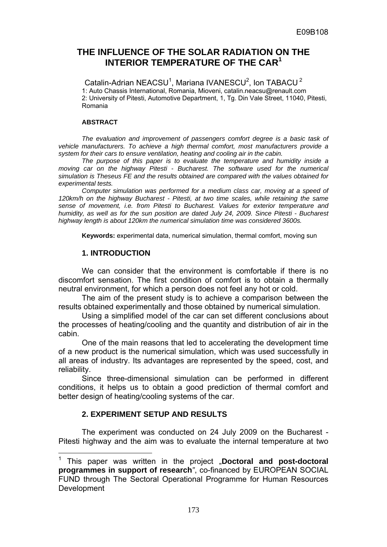## **THE INFLUENCE OF THE SOLAR RADIATION ON THE INTERIOR TEMPERATURE OF THE CAR<sup>1</sup>**

Catalin-Adrian NEACSU<sup>1</sup>, Mariana IVANESCU<sup>2</sup>, Ion TABACU<sup>2</sup> 1: Auto Chassis International, Romania, Mioveni, catalin.neacsu@renault.com 2: University of Pitesti, Automotive Department, 1, Tg. Din Vale Street, 11040, Pitesti, Romania

### **ABSTRACT**

The evaluation and improvement of passengers comfort degree is a basic task of *vehicle manufacturers. To achieve a high thermal comfort, most manufacturers provide a system for their cars to ensure ventilation, heating and cooling air in the cabin.* 

*The purpose of this paper is to evaluate the temperature and humidity inside a moving car on the highway Pitesti - Bucharest. The software used for the numerical simulation is Theseus FE and the results obtained are compared with the values obtained for experimental tests.* 

*Computer simulation was performed for a medium class car, moving at a speed of 120km/h on the highway Bucharest - Pitesti, at two time scales, while retaining the same sense of movement, i.e. from Pitesti to Bucharest. Values for exterior temperature and humidity, as well as for the sun position are dated July 24, 2009. Since Pitesti - Bucharest highway length is about 120km the numerical simulation time was considered 3600s.* 

**Keywords:** experimental data, numerical simulation, thermal comfort, moving sun

### **1. INTRODUCTION**

We can consider that the environment is comfortable if there is no discomfort sensation. The first condition of comfort is to obtain a thermally neutral environment, for which a person does not feel any hot or cold.

The aim of the present study is to achieve a comparison between the results obtained experimentally and those obtained by numerical simulation.

Using a simplified model of the car can set different conclusions about the processes of heating/cooling and the quantity and distribution of air in the cabin.

One of the main reasons that led to accelerating the development time of a new product is the numerical simulation, which was used successfully in all areas of industry. Its advantages are represented by the speed, cost, and reliability.

Since three-dimensional simulation can be performed in different conditions, it helps us to obtain a good prediction of thermal comfort and better design of heating/cooling systems of the car.

### **2. EXPERIMENT SETUP AND RESULTS**

The experiment was conducted on 24 July 2009 on the Bucharest - Pitesti highway and the aim was to evaluate the internal temperature at two

 1 This paper was written in the project "**Doctoral and post-doctoral programmes in support of research***"*, co-financed by EUROPEAN SOCIAL FUND through The Sectoral Operational Programme for Human Resources Development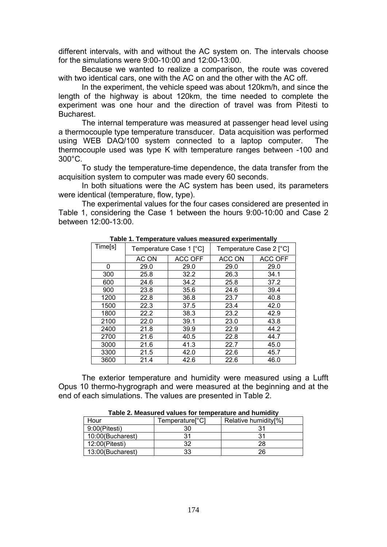different intervals, with and without the AC system on. The intervals choose for the simulations were 9:00-10:00 and 12:00-13:00.

Because we wanted to realize a comparison, the route was covered with two identical cars, one with the AC on and the other with the AC off.

In the experiment, the vehicle speed was about 120km/h, and since the length of the highway is about 120km, the time needed to complete the experiment was one hour and the direction of travel was from Pitesti to **Bucharest** 

The internal temperature was measured at passenger head level using a thermocouple type temperature transducer. Data acquisition was performed using WEB DAQ/100 system connected to a laptop computer. The thermocouple used was type K with temperature ranges between -100 and 300°C.

To study the temperature-time dependence, the data transfer from the acquisition system to computer was made every 60 seconds.

In both situations were the AC system has been used, its parameters were identical (temperature, flow, type).

The experimental values for the four cases considered are presented in Table 1, considering the Case 1 between the hours 9:00-10:00 and Case 2 between 12:00-13:00.

| rapio in romporaturo varaoo mododrod oxpormiontany |       |                         |        |                         |  |  |  |
|----------------------------------------------------|-------|-------------------------|--------|-------------------------|--|--|--|
| Time[s]                                            |       | Temperature Case 1 [°C] |        | Temperature Case 2 [°C] |  |  |  |
|                                                    | AC ON | <b>ACC OFF</b>          | ACC ON | ACC OFF                 |  |  |  |
| 0                                                  | 29.0  | 29.0                    | 29.0   | 29.0                    |  |  |  |
| 300                                                | 25.8  | 32.2                    | 26.3   | 34.1                    |  |  |  |
| 600                                                | 24.6  | 34.2                    | 25.8   | 37.2                    |  |  |  |
| 900                                                | 23.8  | 35.6                    | 24.6   | 39.4                    |  |  |  |
| 1200                                               | 22.8  | 36.8                    | 23.7   | 40.8                    |  |  |  |
| 1500                                               | 22.3  | 37.5                    | 23.4   | 42.0                    |  |  |  |
| 1800                                               | 22.2  | 38.3                    | 23.2   | 42.9                    |  |  |  |
| 2100                                               | 22.0  | 39.1                    | 23.0   | 43.8                    |  |  |  |
| 2400                                               | 21.8  | 39.9                    | 22.9   | 44.2                    |  |  |  |
| 2700                                               | 21.6  | 40.5                    | 22.8   | 44.7                    |  |  |  |
| 3000                                               | 21.6  | 41.3                    | 22.7   | 45.0                    |  |  |  |
| 3300                                               | 21.5  | 42.0                    | 22.6   | 45.7                    |  |  |  |
| 3600                                               | 21.4  | 42.6                    | 22.6   | 46.0                    |  |  |  |

**Table 1. Temperature values measured experimentally** 

The exterior temperature and humidity were measured using a Lufft Opus 10 thermo-hygrograph and were measured at the beginning and at the end of each simulations. The values are presented in Table 2.

| Hour             | Temperature[°C] | Relative humidity <sup>[%]</sup> |  |  |  |  |
|------------------|-----------------|----------------------------------|--|--|--|--|
| $9:00$ (Pitesti) |                 |                                  |  |  |  |  |
| 10:00(Bucharest) |                 | يو۔                              |  |  |  |  |
| 12:00(Pitesti)   | ∩י              | 28                               |  |  |  |  |
| 13:00(Bucharest) | つつ              | 26                               |  |  |  |  |

**Table 2. Measured values for temperature and humidity**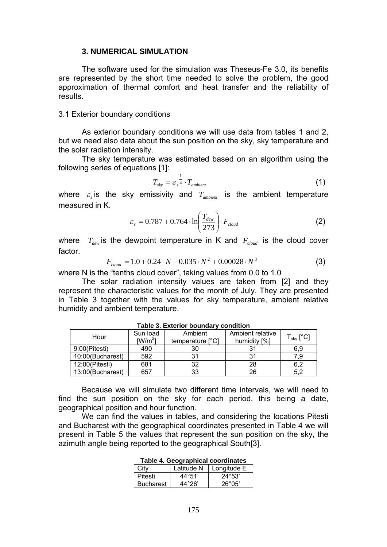### **3. NUMERICAL SIMULATION**

The software used for the simulation was Theseus-Fe 3.0, its benefits are represented by the short time needed to solve the problem, the good approximation of thermal comfort and heat transfer and the reliability of results.

#### 3.1 Exterior boundary conditions

As exterior boundary conditions we will use data from tables 1 and 2, but we need also data about the sun position on the sky, sky temperature and the solar radiation intensity.

The sky temperature was estimated based on an algorithm using the following series of equations [1]:

$$
T_{sky} = \varepsilon_s^{\frac{1}{4}} \cdot T_{ambient} \tag{1}
$$

where  $\varepsilon$ <sub>s</sub> is the sky emissivity and  $T_{ambient}$  is the ambient temperature measured in K.

$$
\varepsilon_{s} = 0.787 + 0.764 \cdot \ln\left(\frac{T_{dev}}{273}\right) \cdot F_{cloud}
$$
 (2)

where  $T_{dw}$  is the dewpoint temperature in K and  $F_{cloud}$  is the cloud cover factor.

$$
F_{cloud} = 1.0 + 0.24 \cdot N - 0.035 \cdot N^2 + 0.00028 \cdot N^3 \tag{3}
$$

where N is the "tenths cloud cover", taking values from 0.0 to 1.0

The solar radiation intensity values are taken from [2] and they represent the characteristic values for the month of July. They are presented in Table 3 together with the values for sky temperature, ambient relative humidity and ambient temperature.

| Hour             | Sun load<br>$[W/m^2]$ | Ambient<br>temperature [°C] | Ambient relative<br>humidity [%] | $\mathsf{\Gamma}_{\mathsf{sky}}\left[ {}^{\circ}\mathsf{C}\right]$ |
|------------------|-----------------------|-----------------------------|----------------------------------|--------------------------------------------------------------------|
| 9:00(Pitesti)    | 490                   | 30                          |                                  | 6,9                                                                |
| 10:00(Bucharest) | 592                   | 31                          |                                  | 7.9                                                                |
| 12:00(Pitesti)   | 681                   | 32                          | 28                               | 6.2                                                                |
| 13:00(Bucharest) | 657                   | 33                          | 26                               | 5.2                                                                |

**Table 3. Exterior boundary condition** 

Because we will simulate two different time intervals, we will need to find the sun position on the sky for each period, this being a date, geographical position and hour function.

We can find the values in tables, and considering the locations Pitesti and Bucharest with the geographical coordinates presented in Table 4 we will present in Table 5 the values that represent the sun position on the sky, the azimuth angle being reported to the geographical South[3].

|                  | Latitude N | Longitude E     |
|------------------|------------|-----------------|
| Pitesti          | 44°51'     | $24^{\circ}53'$ |
| <b>Bucharest</b> | 44°26'     | $26^{\circ}05'$ |

**Table 4. Geographical coordinates**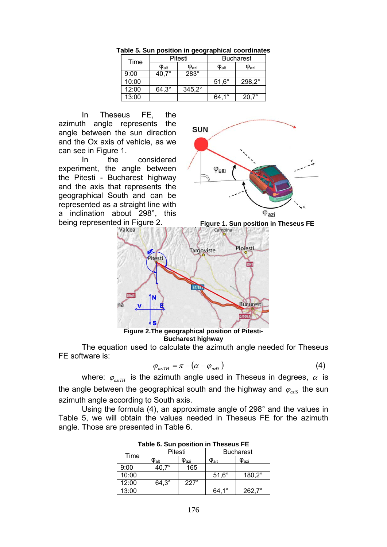| Time  |                     | Pitesti               |                     | <b>Bucharest</b> |
|-------|---------------------|-----------------------|---------------------|------------------|
|       | $\phi_\mathsf{alt}$ | $\phi_{\mathsf{azi}}$ | $\phi_{\text{alt}}$ | $\Phi$ azi       |
| 9:00  |                     | 283°                  |                     |                  |
| 10:00 |                     |                       | $51.6^\circ$        | $298.2^\circ$    |
| 12:00 | $64.3^\circ$        | $345.2^{\circ}$       |                     |                  |
| 13:00 |                     |                       | 10<br>64            | $20,7^\circ$     |

**Table 5. Sun position in geographical coordinates** 

In Theseus FE, the azimuth angle represents the angle between the sun direction and the Ox axis of vehicle, as we can see in Figure 1.

In the considered experiment, the angle between the Pitesti - Bucharest highway and the axis that represents the geographical South and can be represented as a straight line with a inclination about 298°, this being represented in Figure 2.<br>Valcea





**Figure 2.The geographical position of Pitesti-Bucharest highway** 

The equation used to calculate the azimuth angle needed for Theseus FE software is:

$$
\varphi_{aziTH} = \pi - (\alpha - \varphi_{aziS}) \tag{4}
$$

where:  $\varphi_{\text{airH}}$  is the azimuth angle used in Theseus in degrees,  $\alpha$  is the angle between the geographical south and the highway and  $\varphi_{\text{axis}}$  the sun azimuth angle according to South axis.

Using the formula (4), an approximate angle of 298° and the values in Table 5, we will obtain the values needed in Theseus FE for the azimuth angle. Those are presented in Table 6.

| .     |                                    |                       |                                    |                       |  |  |
|-------|------------------------------------|-----------------------|------------------------------------|-----------------------|--|--|
| Time  | Pitesti                            |                       | <b>Bucharest</b>                   |                       |  |  |
|       | $\boldsymbol{\phi}_{\mathsf{alt}}$ | $\phi_{\mathsf{azi}}$ | $\boldsymbol{\phi}_{\mathsf{alt}}$ | $\phi_{\mathsf{azi}}$ |  |  |
| 9:00  | $40.7^\circ$                       | 165                   |                                    |                       |  |  |
| 10:00 |                                    |                       | $51,6^\circ$                       | $180,2^\circ$         |  |  |
| 12:00 | $64.3^\circ$                       | $227^\circ$           |                                    |                       |  |  |
| 13:00 |                                    |                       | $\circ$                            | $262.7^{\circ}$       |  |  |

| Table 6. Sun position in Theseus FE |  |  |
|-------------------------------------|--|--|
|-------------------------------------|--|--|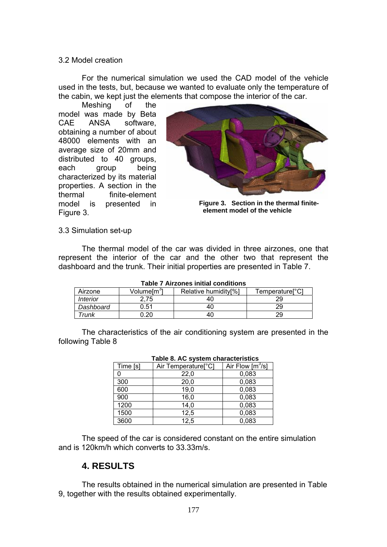### 3.2 Model creation

For the numerical simulation we used the CAD model of the vehicle used in the tests, but, because we wanted to evaluate only the temperature of the cabin, we kept just the elements that compose the interior of the car.

 Meshing of the model was made by Beta CAE ANSA software, obtaining a number of about 48000 elements with an average size of 20mm and distributed to 40 groups, each group being characterized by its material properties. A section in the thermal finite-element model is presented in Figure 3.



**Figure 3. Section in the thermal finiteelement model of the vehicle** 

3.3 Simulation set-up

The thermal model of the car was divided in three airzones, one that represent the interior of the car and the other two that represent the dashboard and the trunk. Their initial properties are presented in Table 7.

| Table / Alfzones initial conditions |                       |                                  |                             |  |  |  |
|-------------------------------------|-----------------------|----------------------------------|-----------------------------|--|--|--|
| Airzone                             | Volumelm <sup>3</sup> | Relative humidity <sup>[%]</sup> | Temperature <sup>o</sup> Cl |  |  |  |
| <i>Interior</i>                     |                       | 40                               |                             |  |  |  |
| Dashboard                           | 0.51                  | 40                               | 29                          |  |  |  |
| Trunk                               | ).20                  | 40                               | 29                          |  |  |  |

**Table 7 Airzones initial conditions** 

The characteristics of the air conditioning system are presented in the following Table 8

|          | Table 6. AC System characteristics |                                       |
|----------|------------------------------------|---------------------------------------|
| Time [s] | Air Temperature <sup>[°</sup> C]   | Air Flow $\left[\frac{m^3}{s}\right]$ |
| 0        | 22,0                               | 0,083                                 |
| 300      | 20,0                               | 0,083                                 |
| 600      | 19,0                               | 0,083                                 |
| 900      | 16,0                               | 0,083                                 |
| 1200     | 14.0                               | 0,083                                 |
| 1500     | 12,5                               | 0,083                                 |
| 3600     | 12,5                               | 0.083                                 |

| Table 8. AC system characteristics |  |                      |  |  |  |
|------------------------------------|--|----------------------|--|--|--|
|                                    |  | $\sim$ $\sim$ $\sim$ |  |  |  |

The speed of the car is considered constant on the entire simulation and is 120km/h which converts to 33.33m/s.

## **4. RESULTS**

The results obtained in the numerical simulation are presented in Table 9, together with the results obtained experimentally.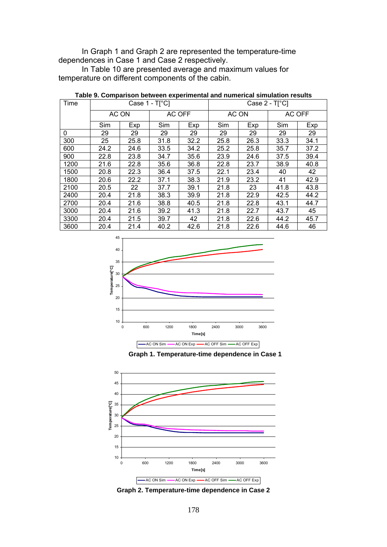In Graph 1 and Graph 2 are represented the temperature-time dependences in Case 1 and Case 2 respectively.

In Table 10 are presented average and maximum values for temperature on different components of the cabin.

| Time | Case $1 - T[^{\circ}C]$ |       |        | Case $2 - T[^{\circ}C]$ |      |                 |      |      |
|------|-------------------------|-------|--------|-------------------------|------|-----------------|------|------|
|      |                         | AC ON | AC OFF |                         |      | AC ON<br>AC OFF |      |      |
|      | Sim                     | Exp   | Sim    | Exp                     | Sim  | Exp             | Sim  | Exp  |
| 0    | 29                      | 29    | 29     | 29                      | 29   | 29              | 29   | 29   |
| 300  | 25                      | 25.8  | 31.8   | 32.2                    | 25.8 | 26.3            | 33.3 | 34.1 |
| 600  | 24.2                    | 24.6  | 33.5   | 34.2                    | 25.2 | 25.8            | 35.7 | 37.2 |
| 900  | 22.8                    | 23.8  | 34.7   | 35.6                    | 23.9 | 24.6            | 37.5 | 39.4 |
| 1200 | 21.6                    | 22.8  | 35.6   | 36.8                    | 22.8 | 23.7            | 38.9 | 40.8 |
| 1500 | 20.8                    | 22.3  | 36.4   | 37.5                    | 22.1 | 23.4            | 40   | 42   |
| 1800 | 20.6                    | 22.2  | 37.1   | 38.3                    | 21.9 | 23.2            | 41   | 42.9 |
| 2100 | 20.5                    | 22    | 37.7   | 39.1                    | 21.8 | 23              | 41.8 | 43.8 |
| 2400 | 20.4                    | 21.8  | 38.3   | 39.9                    | 21.8 | 22.9            | 42.5 | 44.2 |
| 2700 | 20.4                    | 21.6  | 38.8   | 40.5                    | 21.8 | 22.8            | 43.1 | 44.7 |
| 3000 | 20.4                    | 21.6  | 39.2   | 41.3                    | 21.8 | 22.7            | 43.7 | 45   |
| 3300 | 20.4                    | 21.5  | 39.7   | 42                      | 21.8 | 22.6            | 44.2 | 45.7 |
| 3600 | 20.4                    | 21.4  | 40.2   | 42.6                    | 21.8 | 22.6            | 44.6 | 46   |

| Table 9. Comparison between experimental and numerical simulation results |  |  |  |
|---------------------------------------------------------------------------|--|--|--|
|---------------------------------------------------------------------------|--|--|--|







**Graph 2. Temperature-time dependence in Case 2**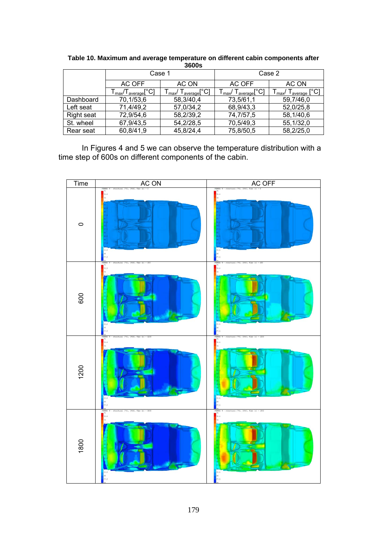| ----       |                                                                                      |                                                                                                        |                                                                                        |                                                   |
|------------|--------------------------------------------------------------------------------------|--------------------------------------------------------------------------------------------------------|----------------------------------------------------------------------------------------|---------------------------------------------------|
|            | Case 1                                                                               |                                                                                                        | Case 2                                                                                 |                                                   |
|            | AC OFF                                                                               | AC ON                                                                                                  | AC OFF                                                                                 | AC ON                                             |
|            | $\mathsf{\Gamma}_{\mathsf{max}}\!/\mathsf{T}_{\mathsf{average}}[\mathrm{^{\circ}C}]$ | $\ulcorner_{\mathsf{average}} \mathsf{[}^{\circ}\mathsf{C} \mathsf{]}$<br>$\mathsf{r}_{\mathsf{max}'}$ | ${\mathsf T}_{\mathsf{average}}[{}^{\circ}\mathsf C]$<br>$\mathsf{T}_{\mathsf{max}}$ / | l <sub>average</sub> [°C] .<br>l <sub>max</sub> / |
| Dashboard  | 70,1/53,6                                                                            | 58,3/40,4                                                                                              | 73,5/61,1                                                                              | 59,7/46,0                                         |
| Left seat  | 71,4/49,2                                                                            | 57,0/34,2                                                                                              | 68,9/43,3                                                                              | 52,0/25,8                                         |
| Right seat | 72,9/54,6                                                                            | 58,2/39,2                                                                                              | 74,7/57,5                                                                              | 58,1/40,6                                         |
| St. wheel  | 67,9/43,5                                                                            | 54,2/28,5                                                                                              | 70,5/49,3                                                                              | 55,1/32,0                                         |
| Rear seat  | 60,8/41,9                                                                            | 45,8/24,4                                                                                              | 75,8/50,5                                                                              | 58,2/25,0                                         |

**Table 10. Maximum and average temperature on different cabin components after 3600s** 

In Figures 4 and 5 we can observe the temperature distribution with a time step of 600s on different components of the cabin.

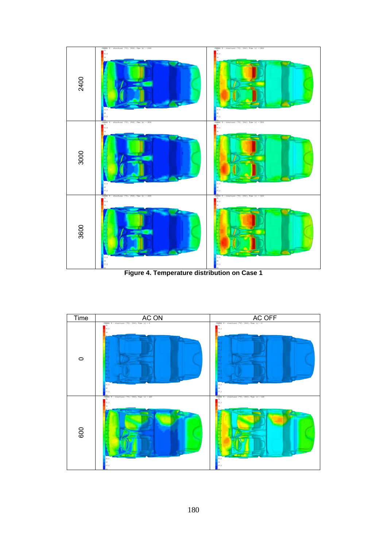

**Figure 4. Temperature distribution on Case 1** 

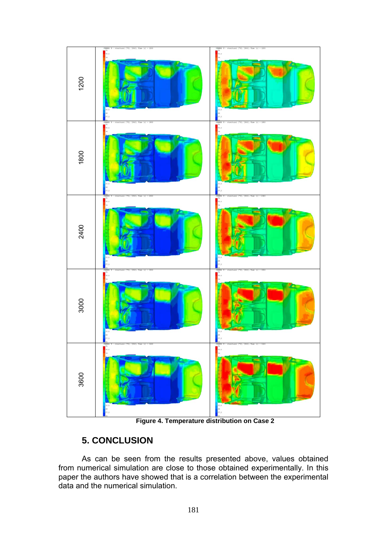

**Figure 4. Temperature distribution on Case 2** 

# **5. CONCLUSION**

As can be seen from the results presented above, values obtained from numerical simulation are close to those obtained experimentally. In this paper the authors have showed that is a correlation between the experimental data and the numerical simulation.